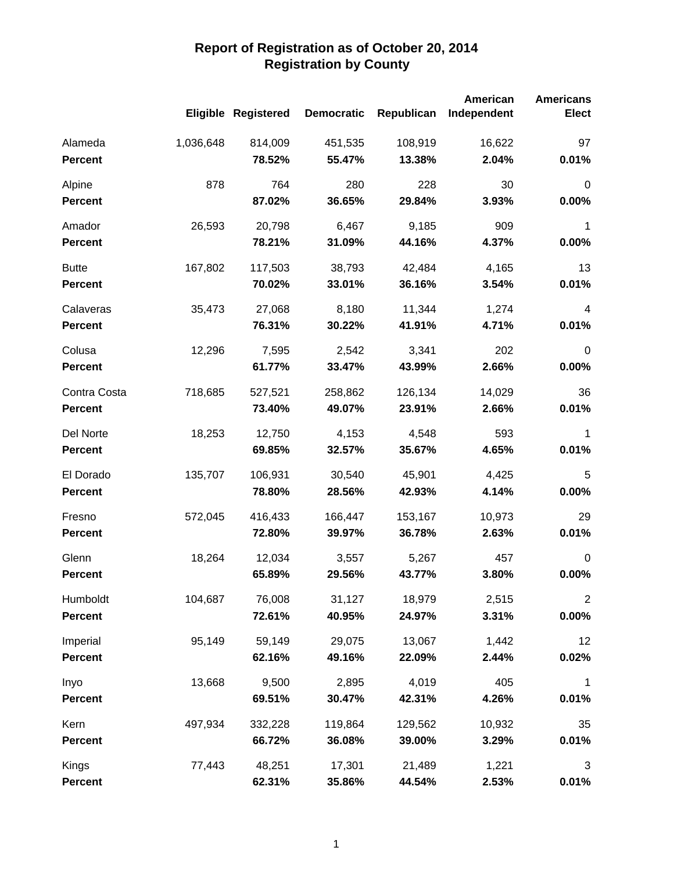|                |           |                     |                   |            | <b>American</b> | <b>Americans</b> |
|----------------|-----------|---------------------|-------------------|------------|-----------------|------------------|
|                |           | Eligible Registered | <b>Democratic</b> | Republican | Independent     | <b>Elect</b>     |
| Alameda        | 1,036,648 | 814,009             | 451,535           | 108,919    | 16,622          | 97               |
| <b>Percent</b> |           | 78.52%              | 55.47%            | 13.38%     | 2.04%           | 0.01%            |
| Alpine         | 878       | 764                 | 280               | 228        | 30              | $\mathbf 0$      |
| <b>Percent</b> |           | 87.02%              | 36.65%            | 29.84%     | 3.93%           | 0.00%            |
| Amador         | 26,593    | 20,798              | 6,467             | 9,185      | 909             | $\mathbf 1$      |
| <b>Percent</b> |           | 78.21%              | 31.09%            | 44.16%     | 4.37%           | 0.00%            |
| <b>Butte</b>   | 167,802   | 117,503             | 38,793            | 42,484     | 4,165           | 13               |
| <b>Percent</b> |           | 70.02%              | 33.01%            | 36.16%     | 3.54%           | 0.01%            |
| Calaveras      | 35,473    | 27,068              | 8,180             | 11,344     | 1,274           | 4                |
| <b>Percent</b> |           | 76.31%              | 30.22%            | 41.91%     | 4.71%           | 0.01%            |
| Colusa         | 12,296    | 7,595               | 2,542             | 3,341      | 202             | $\mathbf 0$      |
| <b>Percent</b> |           | 61.77%              | 33.47%            | 43.99%     | 2.66%           | 0.00%            |
| Contra Costa   | 718,685   | 527,521             | 258,862           | 126,134    | 14,029          | 36               |
| <b>Percent</b> |           | 73.40%              | 49.07%            | 23.91%     | 2.66%           | 0.01%            |
| Del Norte      | 18,253    | 12,750              | 4,153             | 4,548      | 593             | 1                |
| <b>Percent</b> |           | 69.85%              | 32.57%            | 35.67%     | 4.65%           | 0.01%            |
| El Dorado      | 135,707   | 106,931             | 30,540            | 45,901     | 4,425           | 5                |
| <b>Percent</b> |           | 78.80%              | 28.56%            | 42.93%     | 4.14%           | 0.00%            |
| Fresno         | 572,045   | 416,433             | 166,447           | 153,167    | 10,973          | 29               |
| <b>Percent</b> |           | 72.80%              | 39.97%            | 36.78%     | 2.63%           | 0.01%            |
| Glenn          | 18,264    | 12,034              | 3,557             | 5,267      | 457             | 0                |
| <b>Percent</b> |           | 65.89%              | 29.56%            | 43.77%     | 3.80%           | 0.00%            |
| Humboldt       | 104,687   | 76,008              | 31,127            | 18,979     | 2,515           | $\overline{2}$   |
| <b>Percent</b> |           | 72.61%              | 40.95%            | 24.97%     | 3.31%           | $0.00\%$         |
| Imperial       | 95,149    | 59,149              | 29,075            | 13,067     | 1,442           | 12               |
| <b>Percent</b> |           | 62.16%              | 49.16%            | 22.09%     | 2.44%           | 0.02%            |
| Inyo           | 13,668    | 9,500               | 2,895             | 4,019      | 405             | $\mathbf 1$      |
| <b>Percent</b> |           | 69.51%              | 30.47%            | 42.31%     | 4.26%           | 0.01%            |
| Kern           | 497,934   | 332,228             | 119,864           | 129,562    | 10,932          | 35               |
| <b>Percent</b> |           | 66.72%              | 36.08%            | 39.00%     | 3.29%           | 0.01%            |
| Kings          | 77,443    | 48,251              | 17,301            | 21,489     | 1,221           | 3                |
| <b>Percent</b> |           | 62.31%              | 35.86%            | 44.54%     | 2.53%           | 0.01%            |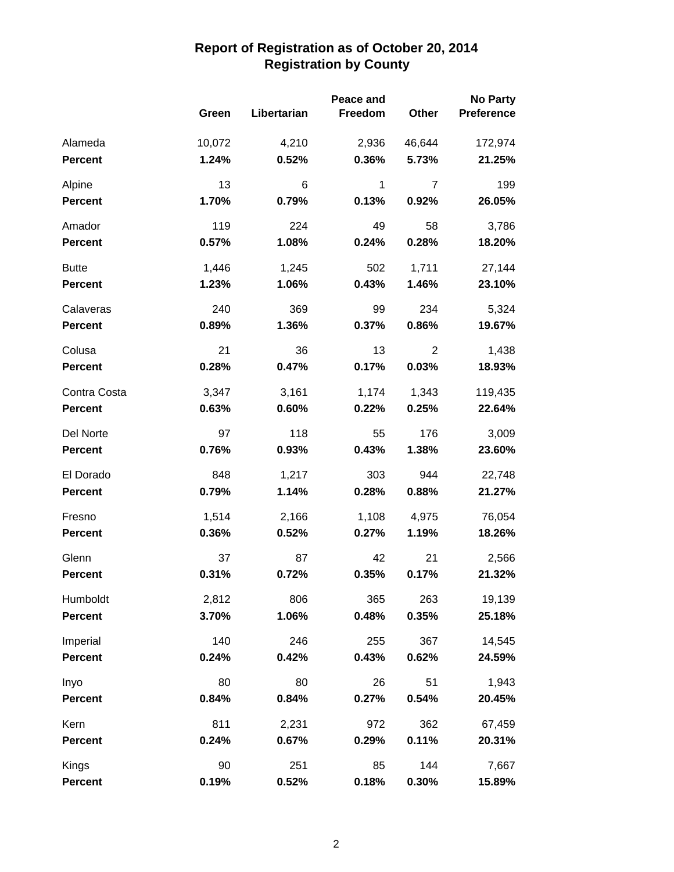|                |        | Peace and   |              |                |                   |
|----------------|--------|-------------|--------------|----------------|-------------------|
|                | Green  | Libertarian | Freedom      | Other          | <b>Preference</b> |
| Alameda        | 10,072 | 4,210       | 2,936        | 46,644         | 172,974           |
| <b>Percent</b> | 1.24%  | 0.52%       | 0.36%        | 5.73%          | 21.25%            |
| Alpine         | 13     | 6           | $\mathbf{1}$ | $\overline{7}$ | 199               |
| <b>Percent</b> | 1.70%  | 0.79%       | 0.13%        | 0.92%          | 26.05%            |
| Amador         | 119    | 224         | 49           | 58             | 3,786             |
| <b>Percent</b> | 0.57%  | 1.08%       | 0.24%        | 0.28%          | 18.20%            |
| <b>Butte</b>   | 1,446  | 1,245       | 502          | 1,711          | 27,144            |
| <b>Percent</b> | 1.23%  | 1.06%       | 0.43%        | 1.46%          | 23.10%            |
| Calaveras      | 240    | 369         | 99           | 234            | 5,324             |
| <b>Percent</b> | 0.89%  | 1.36%       | 0.37%        | 0.86%          | 19.67%            |
| Colusa         | 21     | 36          | 13           | $\overline{2}$ | 1,438             |
| <b>Percent</b> | 0.28%  | 0.47%       | 0.17%        | 0.03%          | 18.93%            |
| Contra Costa   | 3,347  | 3,161       | 1,174        | 1,343          | 119,435           |
| <b>Percent</b> | 0.63%  | 0.60%       | 0.22%        | 0.25%          | 22.64%            |
| Del Norte      | 97     | 118         | 55           | 176            | 3,009             |
| <b>Percent</b> | 0.76%  | 0.93%       | 0.43%        | 1.38%          | 23.60%            |
| El Dorado      | 848    | 1,217       | 303          | 944            | 22,748            |
| <b>Percent</b> | 0.79%  | 1.14%       | 0.28%        | 0.88%          | 21.27%            |
| Fresno         | 1,514  | 2,166       | 1,108        | 4,975          | 76,054            |
| <b>Percent</b> | 0.36%  | 0.52%       | 0.27%        | 1.19%          | 18.26%            |
| Glenn          | 37     | 87          | 42           | 21             | 2,566             |
| <b>Percent</b> | 0.31%  | 0.72%       | 0.35%        | 0.17%          | 21.32%            |
| Humboldt       | 2,812  | 806         | 365          | 263            | 19,139            |
| <b>Percent</b> | 3.70%  | 1.06%       | 0.48%        | 0.35%          | 25.18%            |
| Imperial       | 140    | 246         | 255          | 367            | 14,545            |
| <b>Percent</b> | 0.24%  | 0.42%       | 0.43%        | 0.62%          | 24.59%            |
| Inyo           | 80     | 80          | 26           | 51             | 1,943             |
| <b>Percent</b> | 0.84%  | 0.84%       | 0.27%        | 0.54%          | 20.45%            |
| Kern           | 811    | 2,231       | 972          | 362            | 67,459            |
| <b>Percent</b> | 0.24%  | 0.67%       | 0.29%        | 0.11%          | 20.31%            |
| Kings          | 90     | 251         | 85           | 144            | 7,667             |
| Percent        | 0.19%  | 0.52%       | 0.18%        | 0.30%          | 15.89%            |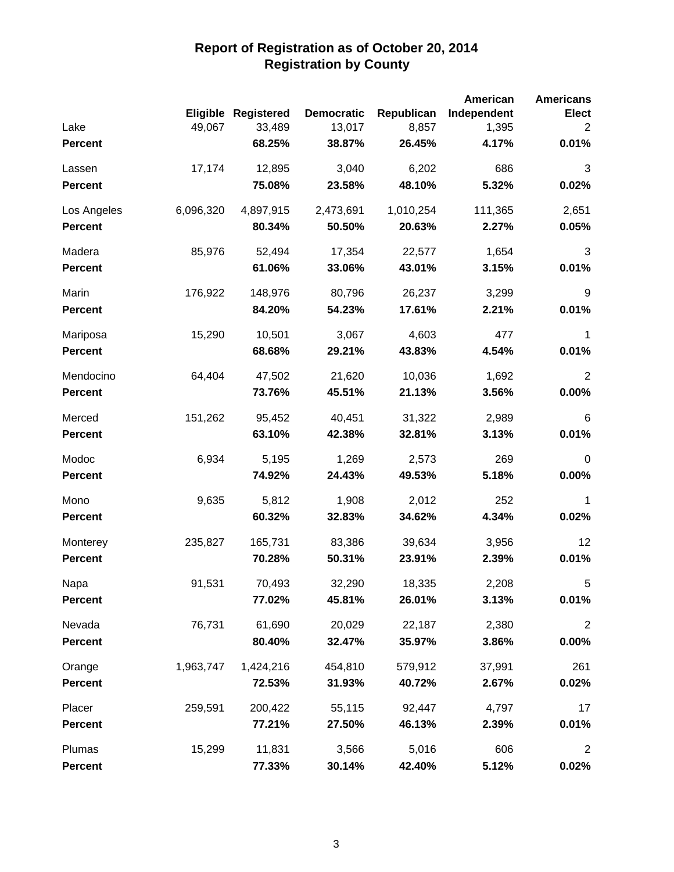|                |           |                            |                   |            | <b>American</b> | <b>Americans</b> |
|----------------|-----------|----------------------------|-------------------|------------|-----------------|------------------|
|                |           | <b>Eligible Registered</b> | <b>Democratic</b> | Republican | Independent     | <b>Elect</b>     |
| Lake           | 49,067    | 33,489                     | 13,017            | 8,857      | 1,395           | 2                |
| <b>Percent</b> |           | 68.25%                     | 38.87%            | 26.45%     | 4.17%           | 0.01%            |
| Lassen         | 17,174    | 12,895                     | 3,040             | 6,202      | 686             | 3                |
| <b>Percent</b> |           | 75.08%                     | 23.58%            | 48.10%     | 5.32%           | 0.02%            |
| Los Angeles    | 6,096,320 | 4,897,915                  | 2,473,691         | 1,010,254  | 111,365         | 2,651            |
| <b>Percent</b> |           | 80.34%                     | 50.50%            | 20.63%     | 2.27%           | 0.05%            |
| Madera         | 85,976    | 52,494                     | 17,354            | 22,577     | 1,654           | 3                |
| <b>Percent</b> |           | 61.06%                     | 33.06%            | 43.01%     | 3.15%           | 0.01%            |
| Marin          | 176,922   | 148,976                    | 80,796            | 26,237     | 3,299           | 9                |
| <b>Percent</b> |           | 84.20%                     | 54.23%            | 17.61%     | 2.21%           | 0.01%            |
| Mariposa       | 15,290    | 10,501                     | 3,067             | 4,603      | 477             | 1                |
| <b>Percent</b> |           | 68.68%                     | 29.21%            | 43.83%     | 4.54%           | 0.01%            |
| Mendocino      | 64,404    | 47,502                     | 21,620            | 10,036     | 1,692           | $\overline{2}$   |
| <b>Percent</b> |           | 73.76%                     | 45.51%            | 21.13%     | 3.56%           | $0.00\%$         |
| Merced         | 151,262   | 95,452                     | 40,451            | 31,322     | 2,989           | $\,6$            |
| <b>Percent</b> |           | 63.10%                     | 42.38%            | 32.81%     | 3.13%           | 0.01%            |
| Modoc          | 6,934     | 5,195                      | 1,269             | 2,573      | 269             | $\mathbf 0$      |
| <b>Percent</b> |           | 74.92%                     | 24.43%            | 49.53%     | 5.18%           | $0.00\%$         |
| Mono           | 9,635     | 5,812                      | 1,908             | 2,012      | 252             | 1                |
| <b>Percent</b> |           | 60.32%                     | 32.83%            | 34.62%     | 4.34%           | 0.02%            |
| Monterey       | 235,827   | 165,731                    | 83,386            | 39,634     | 3,956           | 12               |
| <b>Percent</b> |           | 70.28%                     | 50.31%            | 23.91%     | 2.39%           | 0.01%            |
| Napa           | 91,531    | 70,493                     | 32,290            | 18,335     | 2,208           | 5                |
| <b>Percent</b> |           | 77.02%                     | 45.81%            | 26.01%     | 3.13%           | 0.01%            |
| Nevada         | 76,731    | 61,690                     | 20,029            | 22,187     | 2,380           | $\overline{2}$   |
| <b>Percent</b> |           | 80.40%                     | 32.47%            | 35.97%     | 3.86%           | 0.00%            |
| Orange         | 1,963,747 | 1,424,216                  | 454,810           | 579,912    | 37,991          | 261              |
| <b>Percent</b> |           | 72.53%                     | 31.93%            | 40.72%     | 2.67%           | 0.02%            |
| Placer         | 259,591   | 200,422                    | 55,115            | 92,447     | 4,797           | 17               |
| <b>Percent</b> |           | 77.21%                     | 27.50%            | 46.13%     | 2.39%           | 0.01%            |
| Plumas         | 15,299    | 11,831                     | 3,566             | 5,016      | 606             | $\overline{2}$   |
| <b>Percent</b> |           | 77.33%                     | 30.14%            | 42.40%     | 5.12%           | 0.02%            |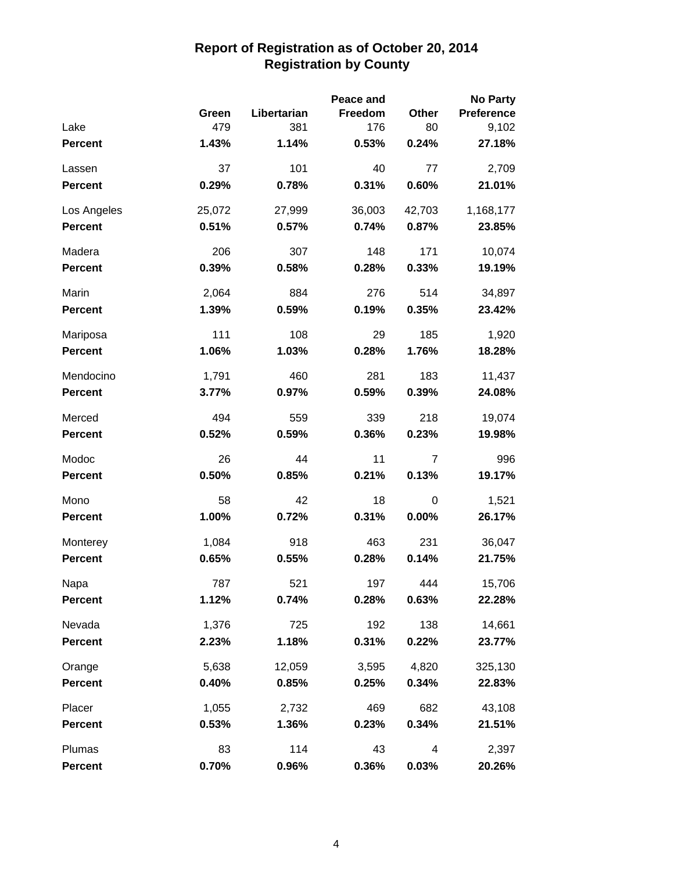|                |        |             | Peace and |        | <b>No Party</b>   |
|----------------|--------|-------------|-----------|--------|-------------------|
|                | Green  | Libertarian | Freedom   | Other  | <b>Preference</b> |
| Lake           | 479    | 381         | 176       | 80     | 9,102             |
| <b>Percent</b> | 1.43%  | 1.14%       | 0.53%     | 0.24%  | 27.18%            |
| Lassen         | 37     | 101         | 40        | 77     | 2,709             |
| <b>Percent</b> | 0.29%  | 0.78%       | 0.31%     | 0.60%  | 21.01%            |
| Los Angeles    | 25,072 | 27,999      | 36,003    | 42,703 | 1,168,177         |
| <b>Percent</b> | 0.51%  | 0.57%       | 0.74%     | 0.87%  | 23.85%            |
| Madera         | 206    | 307         | 148       | 171    | 10,074            |
| <b>Percent</b> | 0.39%  | 0.58%       | 0.28%     | 0.33%  | 19.19%            |
| Marin          | 2,064  | 884         | 276       | 514    | 34,897            |
| <b>Percent</b> | 1.39%  | 0.59%       | 0.19%     | 0.35%  | 23.42%            |
| Mariposa       | 111    | 108         | 29        | 185    | 1,920             |
| <b>Percent</b> | 1.06%  | 1.03%       | 0.28%     | 1.76%  | 18.28%            |
| Mendocino      | 1,791  | 460         | 281       | 183    | 11,437            |
| <b>Percent</b> | 3.77%  | 0.97%       | 0.59%     | 0.39%  | 24.08%            |
| Merced         | 494    | 559         | 339       | 218    | 19,074            |
| <b>Percent</b> | 0.52%  | 0.59%       | 0.36%     | 0.23%  | 19.98%            |
| Modoc          | 26     | 44          | 11        | 7      | 996               |
| <b>Percent</b> | 0.50%  | 0.85%       | 0.21%     | 0.13%  | 19.17%            |
| Mono           | 58     | 42          | 18        | 0      | 1,521             |
| <b>Percent</b> | 1.00%  | 0.72%       | 0.31%     | 0.00%  | 26.17%            |
| Monterey       | 1,084  | 918         | 463       | 231    | 36,047            |
| <b>Percent</b> | 0.65%  | 0.55%       | 0.28%     | 0.14%  | 21.75%            |
| Napa           | 787    | 521         | 197       | 444    | 15,706            |
| <b>Percent</b> | 1.12%  | 0.74%       | 0.28%     | 0.63%  | 22.28%            |
| Nevada         | 1,376  | 725         | 192       | 138    | 14,661            |
| <b>Percent</b> | 2.23%  | 1.18%       | 0.31%     | 0.22%  | 23.77%            |
| Orange         | 5,638  | 12,059      | 3,595     | 4,820  | 325,130           |
| <b>Percent</b> | 0.40%  | 0.85%       | 0.25%     | 0.34%  | 22.83%            |
| Placer         | 1,055  | 2,732       | 469       | 682    | 43,108            |
| <b>Percent</b> | 0.53%  | 1.36%       | 0.23%     | 0.34%  | 21.51%            |
| Plumas         | 83     | 114         | 43        | 4      | 2,397             |
| <b>Percent</b> | 0.70%  | 0.96%       | 0.36%     | 0.03%  | 20.26%            |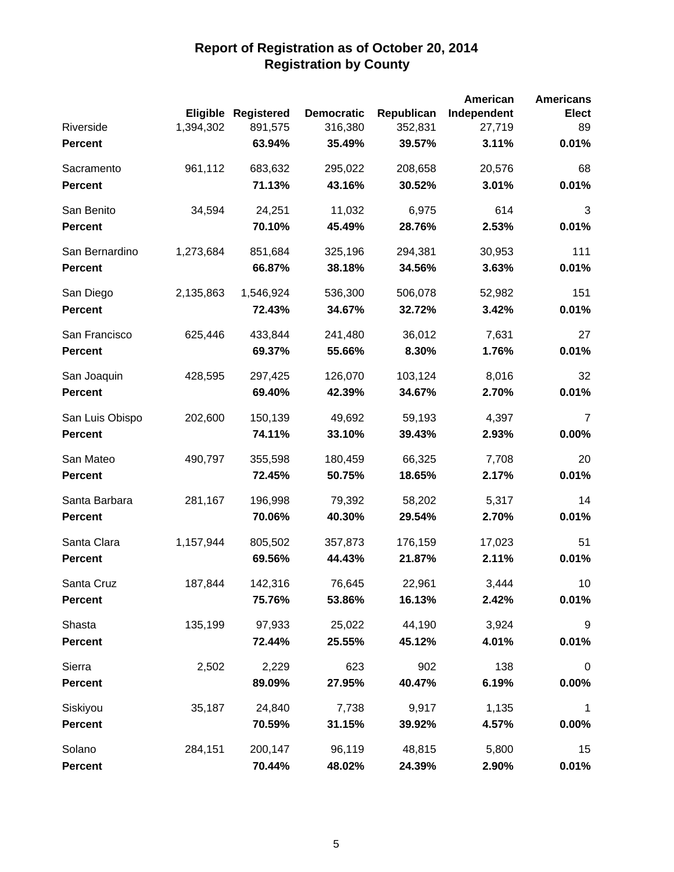|                 |           |                            |                   |            | <b>American</b> | <b>Americans</b> |
|-----------------|-----------|----------------------------|-------------------|------------|-----------------|------------------|
|                 |           | <b>Eligible Registered</b> | <b>Democratic</b> | Republican | Independent     | <b>Elect</b>     |
| Riverside       | 1,394,302 | 891,575                    | 316,380           | 352,831    | 27,719          | 89               |
| <b>Percent</b>  |           | 63.94%                     | 35.49%            | 39.57%     | 3.11%           | 0.01%            |
| Sacramento      | 961,112   | 683,632                    | 295,022           | 208,658    | 20,576          | 68               |
| <b>Percent</b>  |           | 71.13%                     | 43.16%            | 30.52%     | 3.01%           | 0.01%            |
| San Benito      | 34,594    | 24,251                     | 11,032            | 6,975      | 614             | 3                |
| <b>Percent</b>  |           | 70.10%                     | 45.49%            | 28.76%     | 2.53%           | 0.01%            |
| San Bernardino  | 1,273,684 | 851,684                    | 325,196           | 294,381    | 30,953          | 111              |
| <b>Percent</b>  |           | 66.87%                     | 38.18%            | 34.56%     | 3.63%           | 0.01%            |
| San Diego       | 2,135,863 | 1,546,924                  | 536,300           | 506,078    | 52,982          | 151              |
| <b>Percent</b>  |           | 72.43%                     | 34.67%            | 32.72%     | 3.42%           | 0.01%            |
| San Francisco   | 625,446   | 433,844                    | 241,480           | 36,012     | 7,631           | 27               |
| <b>Percent</b>  |           | 69.37%                     | 55.66%            | 8.30%      | 1.76%           | 0.01%            |
| San Joaquin     | 428,595   | 297,425                    | 126,070           | 103,124    | 8,016           | 32               |
| <b>Percent</b>  |           | 69.40%                     | 42.39%            | 34.67%     | 2.70%           | 0.01%            |
| San Luis Obispo | 202,600   | 150,139                    | 49,692            | 59,193     | 4,397           | 7                |
| <b>Percent</b>  |           | 74.11%                     | 33.10%            | 39.43%     | 2.93%           | 0.00%            |
| San Mateo       | 490,797   | 355,598                    | 180,459           | 66,325     | 7,708           | 20               |
| <b>Percent</b>  |           | 72.45%                     | 50.75%            | 18.65%     | 2.17%           | 0.01%            |
| Santa Barbara   | 281,167   | 196,998                    | 79,392            | 58,202     | 5,317           | 14               |
| <b>Percent</b>  |           | 70.06%                     | 40.30%            | 29.54%     | 2.70%           | 0.01%            |
| Santa Clara     | 1,157,944 | 805,502                    | 357,873           | 176,159    | 17,023          | 51               |
| <b>Percent</b>  |           | 69.56%                     | 44.43%            | 21.87%     | 2.11%           | 0.01%            |
| Santa Cruz      | 187,844   | 142,316                    | 76,645            | 22,961     | 3,444           | 10               |
| <b>Percent</b>  |           | 75.76%                     | 53.86%            | 16.13%     | 2.42%           | 0.01%            |
| Shasta          | 135,199   | 97,933                     | 25,022            | 44,190     | 3,924           | $9\,$            |
| <b>Percent</b>  |           | 72.44%                     | 25.55%            | 45.12%     | 4.01%           | 0.01%            |
| Sierra          | 2,502     | 2,229                      | 623               | 902        | 138             | $\pmb{0}$        |
| <b>Percent</b>  |           | 89.09%                     | 27.95%            | 40.47%     | 6.19%           | $0.00\%$         |
| Siskiyou        | 35,187    | 24,840                     | 7,738             | 9,917      | 1,135           | $\mathbf{1}$     |
| <b>Percent</b>  |           | 70.59%                     | 31.15%            | 39.92%     | 4.57%           | 0.00%            |
| Solano          | 284,151   | 200,147                    | 96,119            | 48,815     | 5,800           | 15               |
| <b>Percent</b>  |           | 70.44%                     | 48.02%            | 24.39%     | 2.90%           | 0.01%            |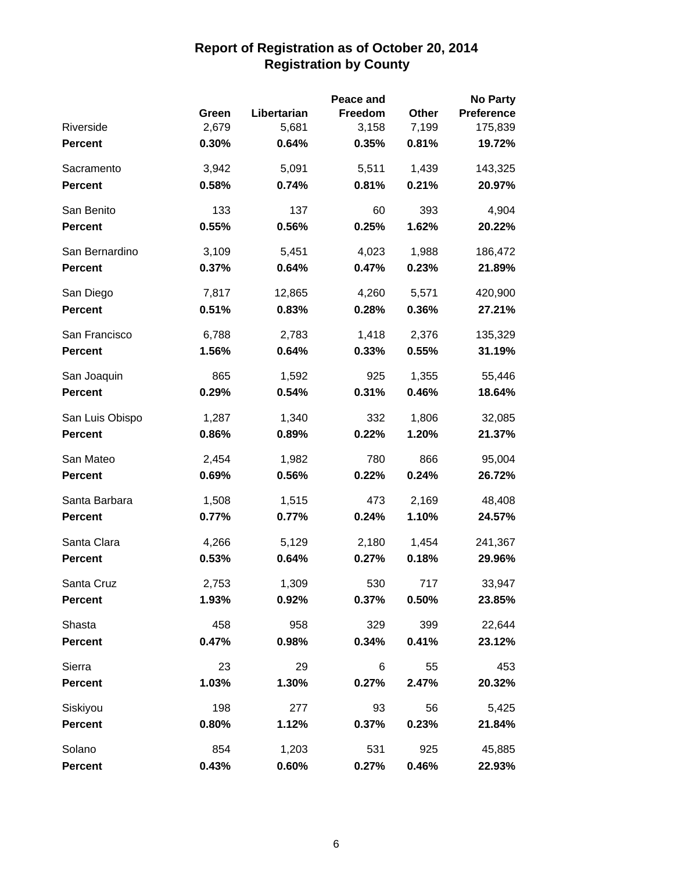|                 |       |             | Peace and |       | <b>No Party</b>   |
|-----------------|-------|-------------|-----------|-------|-------------------|
|                 | Green | Libertarian | Freedom   | Other | <b>Preference</b> |
| Riverside       | 2,679 | 5,681       | 3,158     | 7,199 | 175,839           |
| <b>Percent</b>  | 0.30% | 0.64%       | 0.35%     | 0.81% | 19.72%            |
| Sacramento      | 3,942 | 5,091       | 5,511     | 1,439 | 143,325           |
| <b>Percent</b>  | 0.58% | 0.74%       | 0.81%     | 0.21% | 20.97%            |
| San Benito      | 133   | 137         | 60        | 393   | 4,904             |
| <b>Percent</b>  | 0.55% | 0.56%       | 0.25%     | 1.62% | 20.22%            |
| San Bernardino  | 3,109 | 5,451       | 4,023     | 1,988 | 186,472           |
| <b>Percent</b>  | 0.37% | 0.64%       | 0.47%     | 0.23% | 21.89%            |
| San Diego       | 7,817 | 12,865      | 4,260     | 5,571 | 420,900           |
| <b>Percent</b>  | 0.51% | 0.83%       | 0.28%     | 0.36% | 27.21%            |
| San Francisco   | 6,788 | 2,783       | 1,418     | 2,376 | 135,329           |
| <b>Percent</b>  | 1.56% | 0.64%       | 0.33%     | 0.55% | 31.19%            |
| San Joaquin     | 865   | 1,592       | 925       | 1,355 | 55,446            |
| <b>Percent</b>  | 0.29% | 0.54%       | 0.31%     | 0.46% | 18.64%            |
| San Luis Obispo | 1,287 | 1,340       | 332       | 1,806 | 32,085            |
| <b>Percent</b>  | 0.86% | 0.89%       | 0.22%     | 1.20% | 21.37%            |
| San Mateo       | 2,454 | 1,982       | 780       | 866   | 95,004            |
| <b>Percent</b>  | 0.69% | 0.56%       | 0.22%     | 0.24% | 26.72%            |
| Santa Barbara   | 1,508 | 1,515       | 473       | 2,169 | 48,408            |
| <b>Percent</b>  | 0.77% | 0.77%       | 0.24%     | 1.10% | 24.57%            |
| Santa Clara     | 4,266 | 5,129       | 2,180     | 1,454 | 241,367           |
| <b>Percent</b>  | 0.53% | 0.64%       | 0.27%     | 0.18% | 29.96%            |
| Santa Cruz      | 2,753 | 1,309       | 530       | 717   | 33,947            |
| <b>Percent</b>  | 1.93% | 0.92%       | 0.37%     | 0.50% | 23.85%            |
| Shasta          | 458   | 958         | 329       | 399   | 22,644            |
| <b>Percent</b>  | 0.47% | 0.98%       | 0.34%     | 0.41% | 23.12%            |
| Sierra          | 23    | 29          | 6         | 55    | 453               |
| <b>Percent</b>  | 1.03% | 1.30%       | 0.27%     | 2.47% | 20.32%            |
| Siskiyou        | 198   | 277         | 93        | 56    | 5,425             |
| <b>Percent</b>  | 0.80% | 1.12%       | 0.37%     | 0.23% | 21.84%            |
| Solano          | 854   | 1,203       | 531       | 925   | 45,885            |
| <b>Percent</b>  | 0.43% | 0.60%       | 0.27%     | 0.46% | 22.93%            |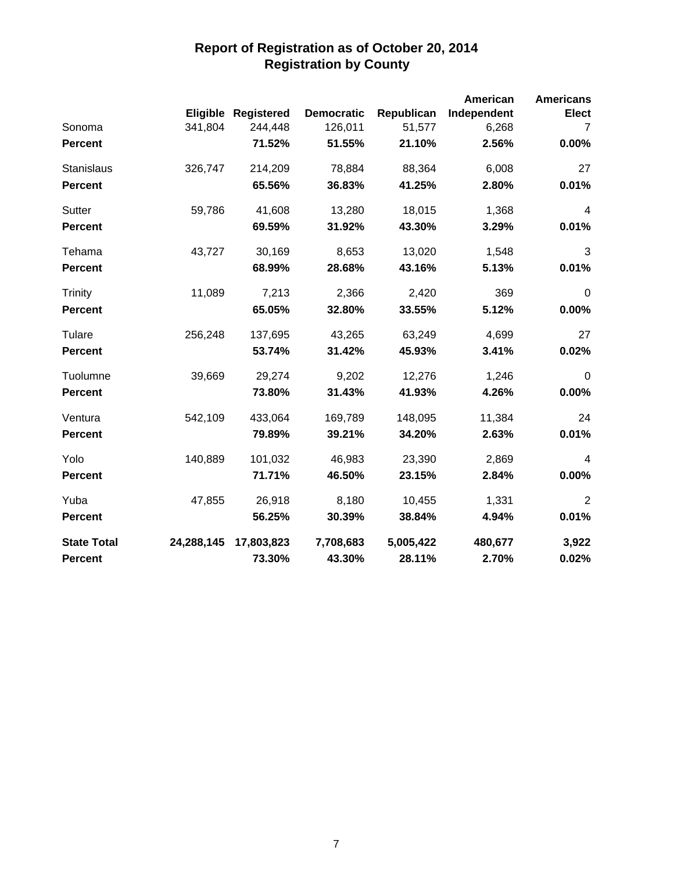|                    |            |                     |                   |            | <b>American</b> | <b>Americans</b> |
|--------------------|------------|---------------------|-------------------|------------|-----------------|------------------|
|                    |            | Eligible Registered | <b>Democratic</b> | Republican | Independent     | <b>Elect</b>     |
| Sonoma             | 341,804    | 244,448             | 126,011           | 51,577     | 6,268           | $\overline{7}$   |
| <b>Percent</b>     |            | 71.52%              | 51.55%            | 21.10%     | 2.56%           | 0.00%            |
| Stanislaus         | 326,747    | 214,209             | 78,884            | 88,364     | 6,008           | 27               |
| <b>Percent</b>     |            | 65.56%              | 36.83%            | 41.25%     | 2.80%           | 0.01%            |
| Sutter             | 59,786     | 41,608              | 13,280            | 18,015     | 1,368           | $\overline{a}$   |
| <b>Percent</b>     |            | 69.59%              | 31.92%            | 43.30%     | 3.29%           | 0.01%            |
| Tehama             | 43,727     | 30,169              | 8,653             | 13,020     | 1,548           | 3                |
| <b>Percent</b>     |            | 68.99%              | 28.68%            | 43.16%     | 5.13%           | 0.01%            |
| <b>Trinity</b>     | 11,089     | 7,213               | 2,366             | 2,420      | 369             | $\mathbf 0$      |
| <b>Percent</b>     |            | 65.05%              | 32.80%            | 33.55%     | 5.12%           | 0.00%            |
| Tulare             | 256,248    | 137,695             | 43,265            | 63,249     | 4,699           | 27               |
| <b>Percent</b>     |            | 53.74%              | 31.42%            | 45.93%     | 3.41%           | 0.02%            |
| Tuolumne           | 39,669     | 29,274              | 9,202             | 12,276     | 1,246           | $\mathbf 0$      |
| <b>Percent</b>     |            | 73.80%              | 31.43%            | 41.93%     | 4.26%           | 0.00%            |
| Ventura            | 542,109    | 433,064             | 169,789           | 148,095    | 11,384          | 24               |
| <b>Percent</b>     |            | 79.89%              | 39.21%            | 34.20%     | 2.63%           | 0.01%            |
| Yolo               | 140,889    | 101,032             | 46,983            | 23,390     | 2,869           | $\overline{4}$   |
| <b>Percent</b>     |            | 71.71%              | 46.50%            | 23.15%     | 2.84%           | 0.00%            |
| Yuba               | 47,855     | 26,918              | 8,180             | 10,455     | 1,331           | $\overline{2}$   |
| <b>Percent</b>     |            | 56.25%              | 30.39%            | 38.84%     | 4.94%           | 0.01%            |
| <b>State Total</b> | 24,288,145 | 17,803,823          | 7,708,683         | 5,005,422  | 480,677         | 3,922            |
| <b>Percent</b>     |            | 73.30%              | 43.30%            | 28.11%     | 2.70%           | 0.02%            |